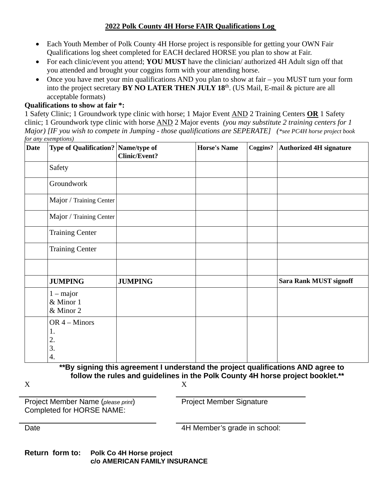## **2022 Polk County 4H Horse FAIR Qualifications Log**

- Each Youth Member of Polk County 4H Horse project is responsible for getting your OWN Fair Qualifications log sheet completed for EACH declared HORSE you plan to show at Fair.
- For each clinic/event you attend; **YOU MUST** have the clinician/ authorized 4H Adult sign off that you attended and brought your coggins form with your attending horse.
- Once you have met your min qualifications AND you plan to show at fair you MUST turn your form into the project secretary **BY NO LATER THEN JULY 18**th. (US Mail, E-mail & picture are all acceptable formats)

## **Qualifications to show at fair \*:**

1 Safety Clinic; 1 Groundwork type clinic with horse; 1 Major Event AND 2 Training Centers **OR** 1 Safety clinic; 1 Groundwork type clinic with horse AND 2 Major events *(you may substitute 2 training centers for 1 Major) [IF you wish to compete in Jumping - those qualifications are SEPERATE] (\*see PC4H horse project book for any exemptions)*

| <b>Date</b> | Type of Qualification? Name/type of     | <b>Clinic/Event?</b> | <b>Horse's Name</b> | Coggins?   Authorized 4H signature |
|-------------|-----------------------------------------|----------------------|---------------------|------------------------------------|
|             | Safety                                  |                      |                     |                                    |
|             | Groundwork                              |                      |                     |                                    |
|             | Major / Training Center                 |                      |                     |                                    |
|             | Major / Training Center                 |                      |                     |                                    |
|             | <b>Training Center</b>                  |                      |                     |                                    |
|             | <b>Training Center</b>                  |                      |                     |                                    |
|             |                                         |                      |                     |                                    |
|             | <b>JUMPING</b>                          | <b>JUMPING</b>       |                     | <b>Sara Rank MUST signoff</b>      |
|             | $1 - major$<br>& Minor 1<br>& Minor 2   |                      |                     |                                    |
|             | OR $4 -$ Minors<br>1.<br>2.<br>3.<br>4. |                      |                     |                                    |

**\*\*By signing this agreement I understand the project qualifications AND agree to follow the rules and guidelines in the Polk County 4H horse project booklet.\*\***

 $X$  and  $X$ 

Project Member Name (*please print*) Completed for HORSE NAME:

Project Member Signature

Date **Date Date 2008 2008 4H Member's grade in school:** 

**Return form to: Polk Co 4H Horse project c/o AMERICAN FAMILY INSURANCE**